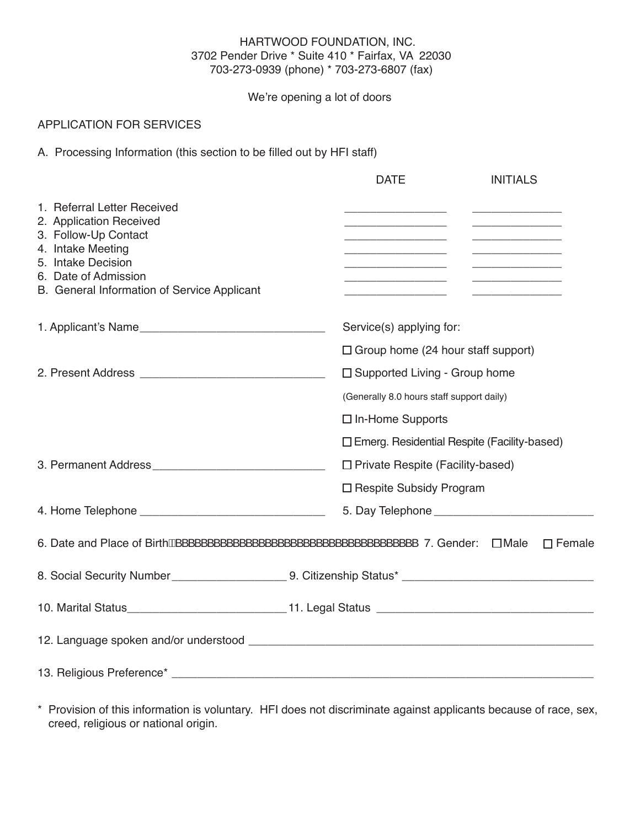#### HARTWOOD FOUNDATION, INC. 3702 Pender Drive \* Suite 410 \* Fairfax, VA 22030 703-273-0939 (phone) \* 703-273-6807 (fax)

We're opening a lot of doors

## APPLICATION FOR SERVICES

A. Processing Information (this section to be filled out by HFI staff)

|                                                                                                                                                                                                  | <b>DATE</b><br><b>INITIALS</b>                                                                                 |
|--------------------------------------------------------------------------------------------------------------------------------------------------------------------------------------------------|----------------------------------------------------------------------------------------------------------------|
| 1. Referral Letter Received<br>2. Application Received<br>3. Follow-Up Contact<br>4. Intake Meeting<br>5. Intake Decision<br>6. Date of Admission<br>B. General Information of Service Applicant |                                                                                                                |
|                                                                                                                                                                                                  | Service(s) applying for:                                                                                       |
|                                                                                                                                                                                                  | $\Box$ Group home (24 hour staff support)                                                                      |
|                                                                                                                                                                                                  | $\Box$ Supported Living - Group home                                                                           |
|                                                                                                                                                                                                  | (Generally 8.0 hours staff support daily)                                                                      |
|                                                                                                                                                                                                  | $\Box$ In-Home Supports                                                                                        |
|                                                                                                                                                                                                  | □ Emerg. Residential Respite (Facility-based)                                                                  |
|                                                                                                                                                                                                  | □ Private Respite (Facility-based)                                                                             |
|                                                                                                                                                                                                  | □ Respite Subsidy Program                                                                                      |
|                                                                                                                                                                                                  |                                                                                                                |
|                                                                                                                                                                                                  | $\Box$ Female                                                                                                  |
|                                                                                                                                                                                                  | 8. Social Security Number __________________________9. Citizenship Status* ___________________________________ |
|                                                                                                                                                                                                  |                                                                                                                |
|                                                                                                                                                                                                  |                                                                                                                |
|                                                                                                                                                                                                  |                                                                                                                |

\* Provision of this information is voluntary. HFI does not discriminate against applicants because of race, sex, creed, religious or national origin.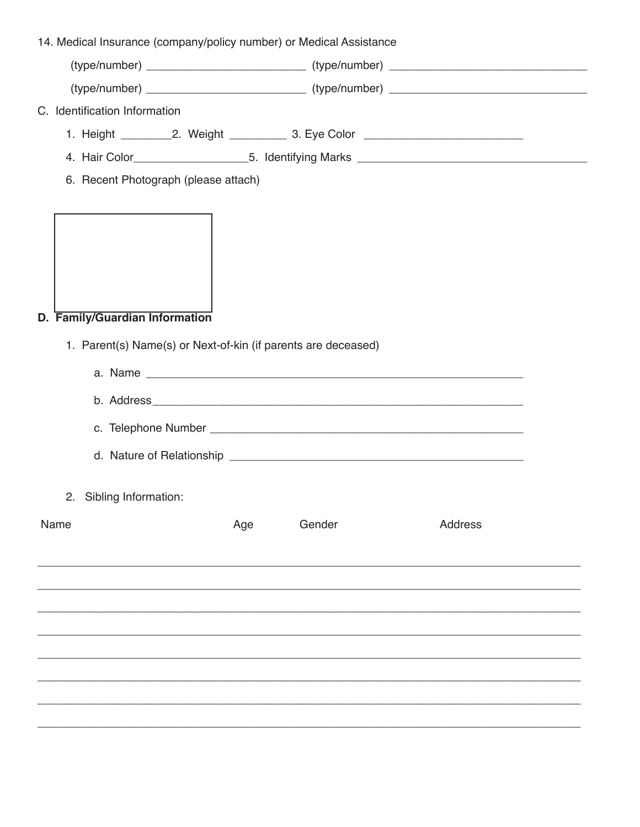| 14. Medical Insurance (company/policy number) or Medical Assistance                             |     |        |                |  |
|-------------------------------------------------------------------------------------------------|-----|--------|----------------|--|
|                                                                                                 |     |        |                |  |
|                                                                                                 |     |        |                |  |
| C. Identification Information                                                                   |     |        |                |  |
|                                                                                                 |     |        |                |  |
|                                                                                                 |     |        |                |  |
| 6. Recent Photograph (please attach)                                                            |     |        |                |  |
| D. Family/Guardian Information<br>1. Parent(s) Name(s) or Next-of-kin (if parents are deceased) |     |        |                |  |
| 2. Sibling Information:                                                                         |     |        |                |  |
| Name                                                                                            | Age | Gender | <b>Address</b> |  |
|                                                                                                 |     |        |                |  |
|                                                                                                 |     |        |                |  |
|                                                                                                 |     |        |                |  |
|                                                                                                 |     |        |                |  |
|                                                                                                 |     |        |                |  |
|                                                                                                 |     |        |                |  |
|                                                                                                 |     |        |                |  |
|                                                                                                 |     |        |                |  |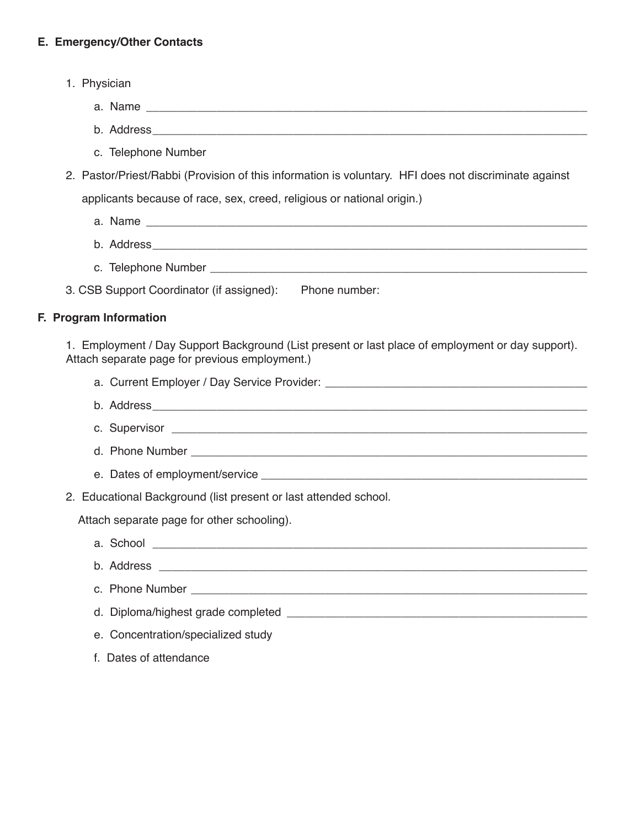## **E. Emergency/Other Contacts**

- 1. Physician
	- a. Name
	- c. Telephone Number
- 2. Pastor/Priest/Rabbi (Provision of this information is voluntary. HFI does not discriminate against applicants because of race, sex, creed, religious or national origin.)
	- a. Name \_\_\_\_\_\_\_\_\_\_\_\_\_\_\_\_\_\_\_\_\_\_\_\_\_\_\_\_\_\_\_\_\_\_\_\_\_\_\_\_\_\_\_\_\_\_\_\_\_\_\_\_\_\_\_\_\_\_\_\_\_\_\_\_\_\_\_\_\_
	- b. Address\_\_\_\_\_\_\_\_\_\_\_\_\_\_\_\_\_\_\_\_\_\_\_\_\_\_\_\_\_\_\_\_\_\_\_\_\_\_\_\_\_\_\_\_\_\_\_\_\_\_\_\_\_\_\_\_\_\_\_\_\_\_\_\_\_\_\_\_
	- c. Telephone Number \_\_\_\_\_\_\_\_\_\_\_\_\_\_\_\_\_\_\_\_\_\_\_\_\_\_\_\_\_\_\_\_\_\_\_\_\_\_\_\_\_\_\_\_\_\_\_\_\_\_\_\_\_\_\_\_\_\_\_
- 3. CSB Support Coordinator (if assigned): Phone number:

b. Address

#### **F. Program Information**

1. Employment / Day Support Background (List present or last place of employment or day support). Attach separate page for previous employment.)

- a. Current Employer / Day Service Provider:
- b. Address
- c. Supervisor \_\_\_\_\_\_\_\_\_\_\_\_\_\_\_\_\_\_\_\_\_\_\_\_\_\_\_\_\_\_\_\_\_\_\_\_\_\_\_\_\_\_\_\_\_\_\_\_\_\_\_\_\_\_\_\_\_\_\_\_\_\_\_\_\_
- d. Phone Number
- e. Dates of employment/service \_\_\_\_\_\_\_\_\_\_\_\_\_\_\_\_\_\_\_\_\_\_\_\_\_\_\_\_\_\_\_\_\_\_\_\_\_\_\_\_\_\_\_\_\_\_\_\_\_\_\_
- 2. Educational Background (list present or last attended school.

Attach separate page for other schooling).

- a. School \_\_\_\_\_\_\_\_\_\_\_\_\_\_\_\_\_\_\_\_\_\_\_\_\_\_\_\_\_\_\_\_\_\_\_\_\_\_\_\_\_\_\_\_\_\_\_\_\_\_\_\_\_\_\_\_\_\_\_\_\_\_\_\_\_\_\_\_ b. Address \_\_\_\_\_\_\_\_\_\_\_\_\_\_\_\_\_\_\_\_\_\_\_\_\_\_\_\_\_\_\_\_\_\_\_\_\_\_\_\_\_\_\_\_\_\_\_\_\_\_\_\_\_\_\_\_\_\_\_\_\_\_\_\_\_\_\_ c. Phone Number  $\Box$ d. Diploma/highest grade completed **completed** e. Concentration/specialized study
- f. Dates of attendance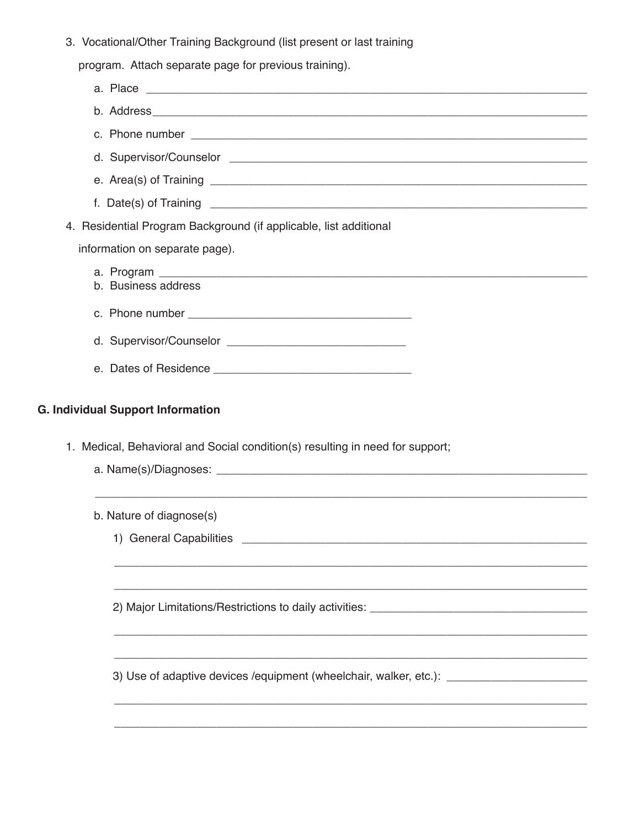3. Vocational/Other Training Background (list present or last training

program. Attach separate page for previous training).

| 4. Residential Program Background (if applicable, list additional                                                         |
|---------------------------------------------------------------------------------------------------------------------------|
| information on separate page).                                                                                            |
| b. Business address                                                                                                       |
|                                                                                                                           |
|                                                                                                                           |
|                                                                                                                           |
|                                                                                                                           |
| <b>G. Individual Support Information</b><br>1. Medical, Behavioral and Social condition(s) resulting in need for support; |
|                                                                                                                           |
|                                                                                                                           |
| b. Nature of diagnose(s)                                                                                                  |
|                                                                                                                           |
|                                                                                                                           |
|                                                                                                                           |
|                                                                                                                           |
| 3) Use of adaptive devices /equipment (wheelchair, walker, etc.): ______________________                                  |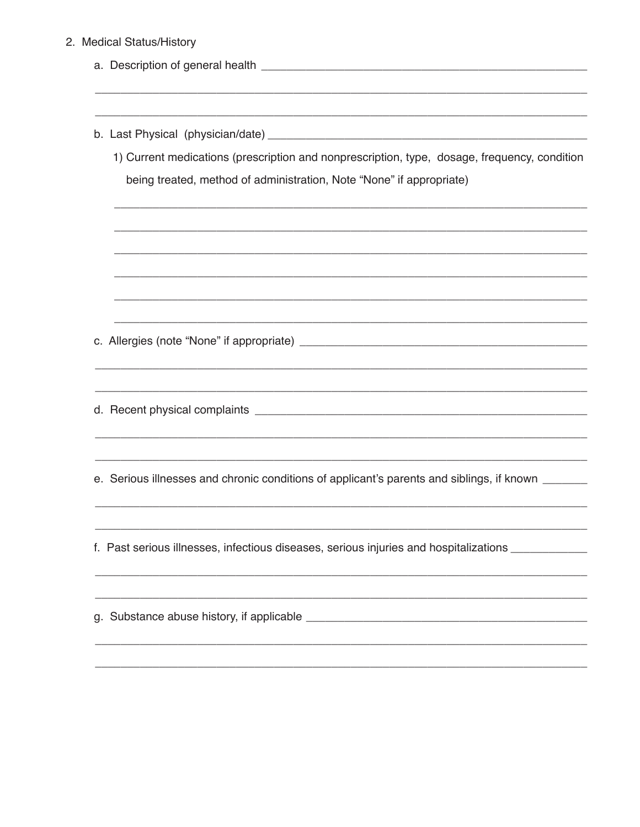## 2. Medical Status/History

| 1) Current medications (prescription and nonprescription, type, dosage, frequency, condition<br>being treated, method of administration, Note "None" if appropriate) |  |  |
|----------------------------------------------------------------------------------------------------------------------------------------------------------------------|--|--|
|                                                                                                                                                                      |  |  |
|                                                                                                                                                                      |  |  |
|                                                                                                                                                                      |  |  |
|                                                                                                                                                                      |  |  |
|                                                                                                                                                                      |  |  |
| e. Serious illnesses and chronic conditions of applicant's parents and siblings, if known ______                                                                     |  |  |
|                                                                                                                                                                      |  |  |
| f. Past serious illnesses, infectious diseases, serious injuries and hospitalizations _____________                                                                  |  |  |
|                                                                                                                                                                      |  |  |
|                                                                                                                                                                      |  |  |
|                                                                                                                                                                      |  |  |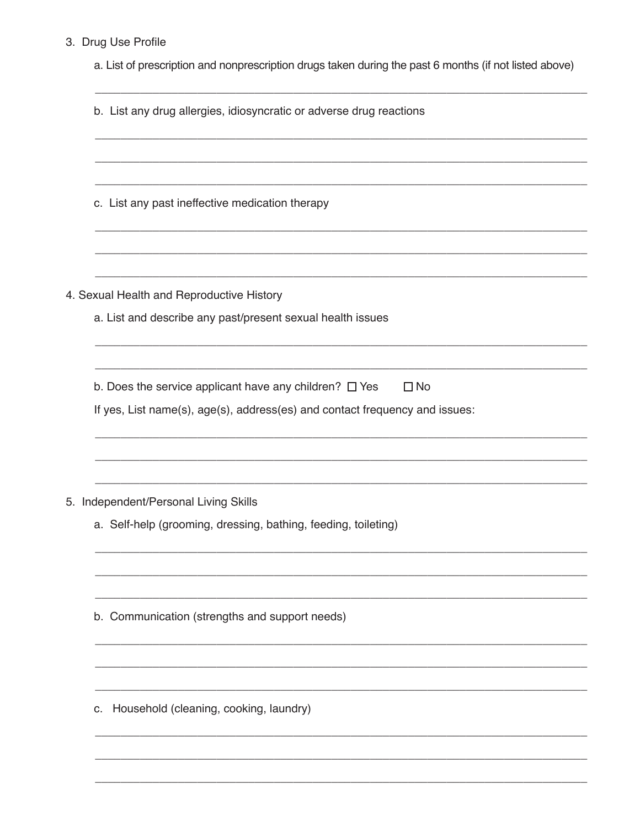## 3. Drug Use Profile

a. List of prescription and nonprescription drugs taken during the past 6 months (if not listed above)

| b. List any drug allergies, idiosyncratic or adverse drug reactions |                                                                             |  |  |
|---------------------------------------------------------------------|-----------------------------------------------------------------------------|--|--|
|                                                                     |                                                                             |  |  |
|                                                                     |                                                                             |  |  |
|                                                                     | c. List any past ineffective medication therapy                             |  |  |
|                                                                     |                                                                             |  |  |
|                                                                     | 4. Sexual Health and Reproductive History                                   |  |  |
|                                                                     | a. List and describe any past/present sexual health issues                  |  |  |
|                                                                     |                                                                             |  |  |
|                                                                     | b. Does the service applicant have any children? $\Box$ Yes<br>$\Box$ No    |  |  |
|                                                                     | If yes, List name(s), age(s), address(es) and contact frequency and issues: |  |  |
|                                                                     |                                                                             |  |  |
|                                                                     |                                                                             |  |  |
|                                                                     | 5. Independent/Personal Living Skills                                       |  |  |
|                                                                     | a. Self-help (grooming, dressing, bathing, feeding, toileting)              |  |  |
|                                                                     |                                                                             |  |  |
|                                                                     |                                                                             |  |  |
|                                                                     | b. Communication (strengths and support needs)                              |  |  |
|                                                                     |                                                                             |  |  |
|                                                                     |                                                                             |  |  |
| C.                                                                  | Household (cleaning, cooking, laundry)                                      |  |  |
|                                                                     |                                                                             |  |  |
|                                                                     |                                                                             |  |  |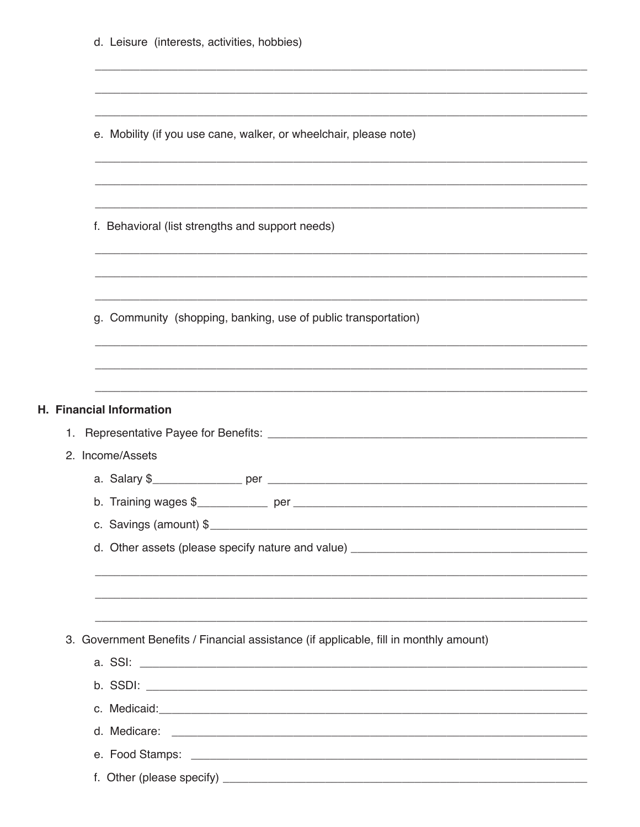| d. Leisure (interests, activities, hobbies)                                           |
|---------------------------------------------------------------------------------------|
|                                                                                       |
| e. Mobility (if you use cane, walker, or wheelchair, please note)                     |
|                                                                                       |
| f. Behavioral (list strengths and support needs)                                      |
|                                                                                       |
| g. Community (shopping, banking, use of public transportation)                        |
|                                                                                       |
|                                                                                       |
| H. Financial Information                                                              |
| 2. Income/Assets                                                                      |
|                                                                                       |
|                                                                                       |
| c. Savings (amount) \$                                                                |
|                                                                                       |
| ,我们也不能在这里的人,我们也不能在这里的人,我们也不能在这里的人,我们也不能在这里的人,我们也不能在这里的人,我们也不能在这里的人,我们也不能在这里的人,我们也     |
| ,我们也不能在这里的人,我们也不能在这里的人,我们也不能在这里的人,我们也不能在这里的人,我们也不能在这里的人,我们也不能在这里的人,我们也不能在这里的人,我们也     |
| 3. Government Benefits / Financial assistance (if applicable, fill in monthly amount) |
|                                                                                       |
|                                                                                       |
|                                                                                       |
|                                                                                       |
|                                                                                       |
|                                                                                       |